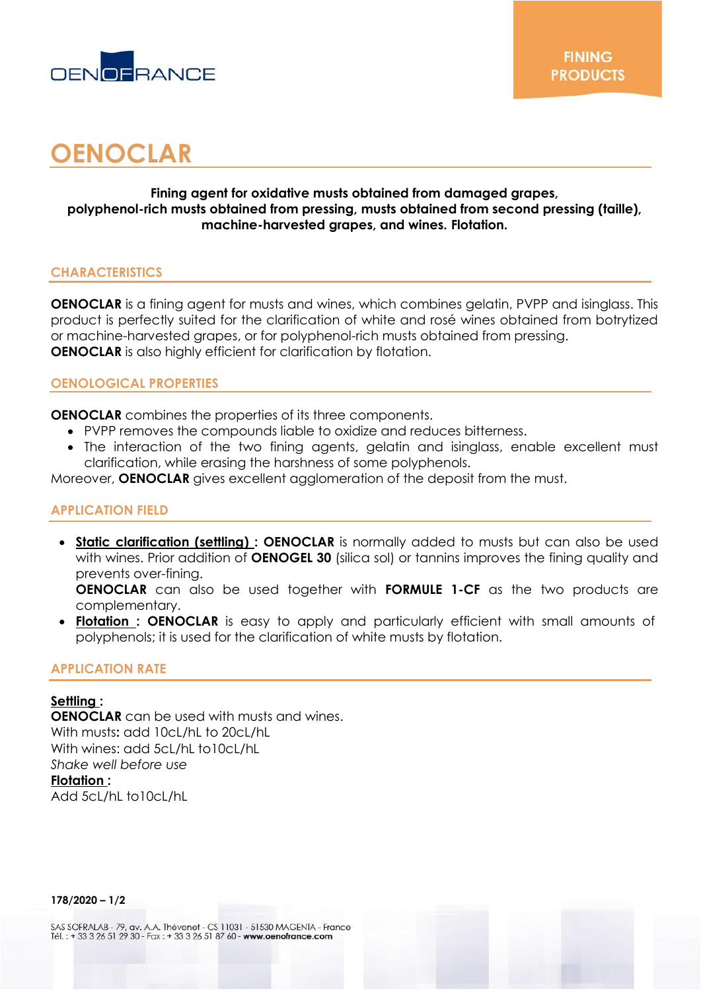

# **OENOCLAR**

# **Fining agent for oxidative musts obtained from damaged grapes, polyphenol-rich musts obtained from pressing, musts obtained from second pressing (taille), machine-harvested grapes, and wines. Flotation.**

# **CHARACTERISTICS**

**OENOCLAR** is a fining agent for musts and wines, which combines gelatin, PVPP and isinglass. This product is perfectly suited for the clarification of white and rosé wines obtained from botrytized or machine-harvested grapes, or for polyphenol-rich musts obtained from pressing. **OENOCLAR** is also highly efficient for clarification by flotation.

# **OENOLOGICAL PROPERTIES**

**OENOCLAR** combines the properties of its three components.

- PVPP removes the compounds liable to oxidize and reduces bitterness.
- The interaction of the two fining agents, gelatin and isinglass, enable excellent must clarification, while erasing the harshness of some polyphenols.

Moreover, **OENOCLAR** gives excellent agglomeration of the deposit from the must.

# **APPLICATION FIELD**

 **Static clarification (settling) : OENOCLAR** is normally added to musts but can also be used with wines. Prior addition of **OENOGEL 30** (silica sol) or tannins improves the fining quality and prevents over-fining.

**OENOCLAR** can also be used together with **FORMULE 1-CF** as the two products are complementary.

**Flotation : OENOCLAR** is easy to apply and particularly efficient with small amounts of polyphenols; it is used for the clarification of white musts by flotation.

## **APPLICATION RATE**

## **Settling :**

**OENOCLAR** can be used with musts and wines. With musts**:** add 10cL/hL to 20cL/hL With wines: add 5cL/hL to10cL/hL *Shake well before use* **Flotation :** Add 5cL/hL to10cL/hL

**178/2020 – 1/2**

SAS SOFRALAB - 79, av. A.A. Thévenet - CS 11031 - 51530 MAGENTA - France<br>Tél. : + 33 3 26 51 29 30 - Fax : + 33 3 26 51 87 60 - www.oenofrance.com